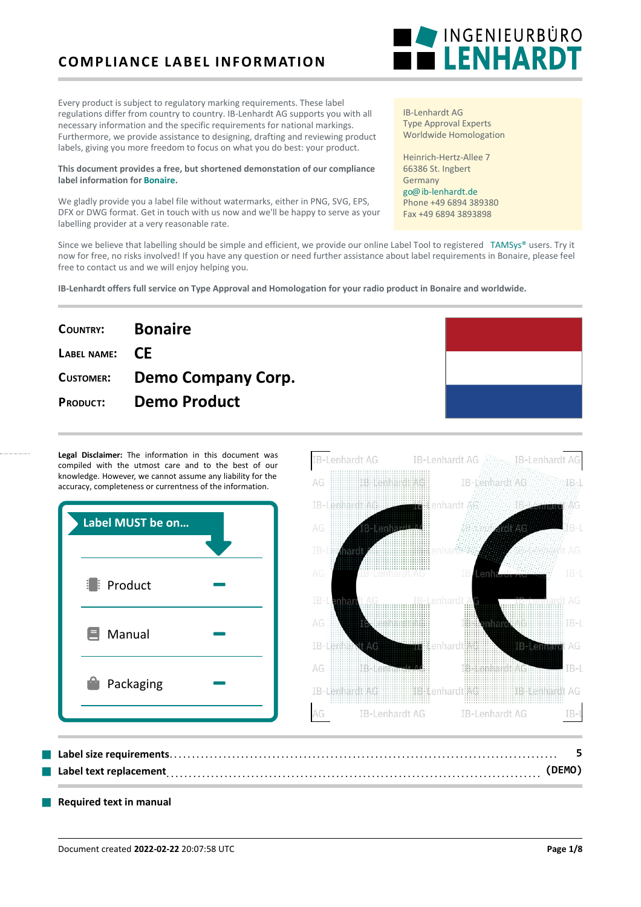Every product is subject to regulatory marking requirements. These label regulations differ from country to country. IB-Lenhardt AG supports you with all necessary information and the specific requirements for national markings. Furthermore, we provide assistance to designing, drafting and reviewing product labels, giving you more freedom to focus on what you do best: your product.

### **This document provides a free, but shortened demonstation of our compliance label information for [Bonaire.](https://ib-lenhardt.de/en/type-approval/country/Bonaire/)**

We gladly provide you a label file without watermarks, either in PNG, SVG, EPS, DFX or DWG format. Get in touch with us now and we'll be happy to serve as your labelling provider at a very reasonable rate.

Since we believe that labelling should be simple and efficient, we provide our online Label Tool to registered [TAMSys®](https://tamsys.org/) users. Try it now for free, no risks involved! If you have any question or need further assistance about label requirements in Bonaire, please feel free to contact us and we will enjoy helping you.

**IB-Lenhardt offers full service on Type Approval and Homologation for your radio product in Bonaire and worldwide.**

|                       | COUNTRY: Bonaire             |  |
|-----------------------|------------------------------|--|
| LABEL NAME: <b>CE</b> |                              |  |
|                       | CUSTOMER: Demo Company Corp. |  |
|                       | <b>PRODUCT:</b> Demo Product |  |

Legal Disclaimer: The information in this document was compiled with the utmost care and to the best of our knowledge. However, we cannot assume any liability for the accuracy, completeness or currentness of the information.

| Label MUST be on      | Lexing of the control of<br>IB-<br>nhardt<br><b></b><br><br>AG<br><b><i><u>PRIMER</u></i></b>                                                                                                                         |
|-----------------------|-----------------------------------------------------------------------------------------------------------------------------------------------------------------------------------------------------------------------|
|                       | <br><br><br>::::::::::::::::::::<br>IB-<br>AG<br><br>:::::::::::::::::::::::::::                                                                                                                                      |
| $\frac{1}{2}$ Product | <br>,,,,,,,,,,,,,,,,,,,,,,,,,,,,,,<br>$IB - L$<br>AG<br>B-Lennardt Au<br>CHILCIL AU                                                                                                                                   |
|                       | IB-<br>IB-Lenhardt<br>AG<br>1111<br><br>- - - - - -<br>,,,,,,,,,,,,,,,,,,,,,,,,,,,,<br>,,,,,,,,,,,,,,,,,,,,,,,,,,<br><br><b>HIII</b>                                                                                  |
| Ξ<br>Manual           | ,,,,,,,,,,,,,,,,,,,,,,,,,,<br>₩<br><u> 1980 - 1990 - 1990 - 1990 - 1990 - 1990 - 1990 - 1990 - 1990 - 1990 - 1990 - 1990 - 1990 - 1990 - 1990 - 199</u><br>AG<br>econociano<br><br><br>.<br><br><br><br>              |
|                       | <br><br><b></b><br><br>IB-<br>1.1814441111<br><b>IB-Lenhard</b><br>Lenni<br>1988899999<br><br><b></b><br><b><i>BEREEREER</i></b><br>.<br>                                                                             |
| Packaging             | <br>.<br><br><br><br><br><b>TALISLANDS PART</b><br>AG<br><b>The Company of Company of the Company of the Company of the Company of the Company of the Company of the Company</b><br><b>HELLER BERSON AND THE REAL</b> |
|                       | Lentand AG<br>dt:AC BELenhardt AG<br>$IB-1$                                                                                                                                                                           |
|                       | $\sqrt{2}$<br><b>IB-Lenhardt AG</b><br><b>IB-Lenhardt AG</b><br>IB-<br>۹u                                                                                                                                             |

**B-Lenhardt AG** 



IB-Lenhardt AG Type Approval Experts Worldwide Homologation

Heinrich-Hertz-Allee 7 66386 St. Ingbert Germany [go@ib-lenhardt.de](mailto:go@ib-lenhardt.de) Phone +49 6894 389380 Fax +49 6894 3893898

**Required text in manual** 



IB-Lenhardt AG Water IB-Lenhardt AC

IB-Lenhardt AG

JR-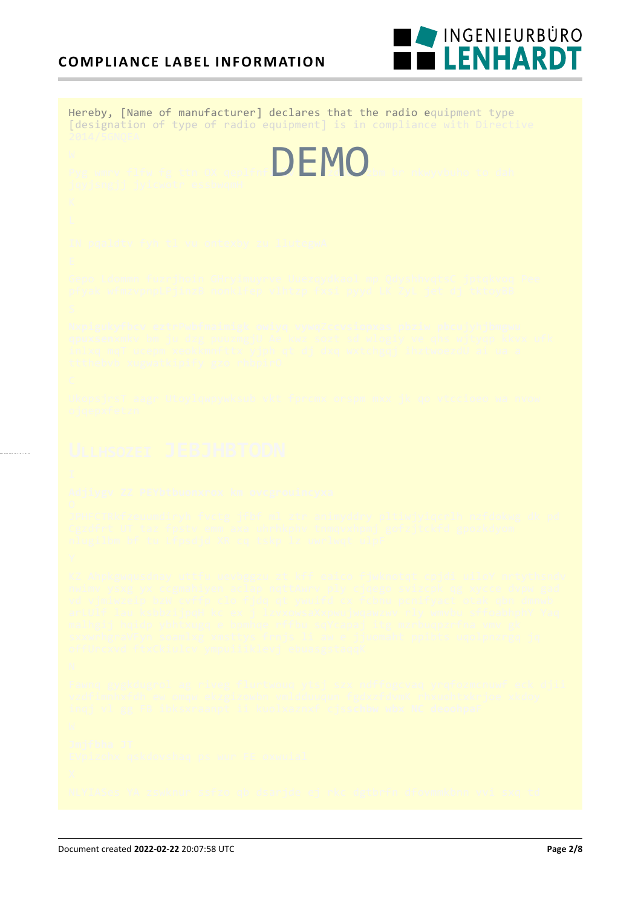

Hereby, [Name of manufacturer] declares that the radio equipment type [designation of type of radio equipment] is in compliance with Directive **DEMO**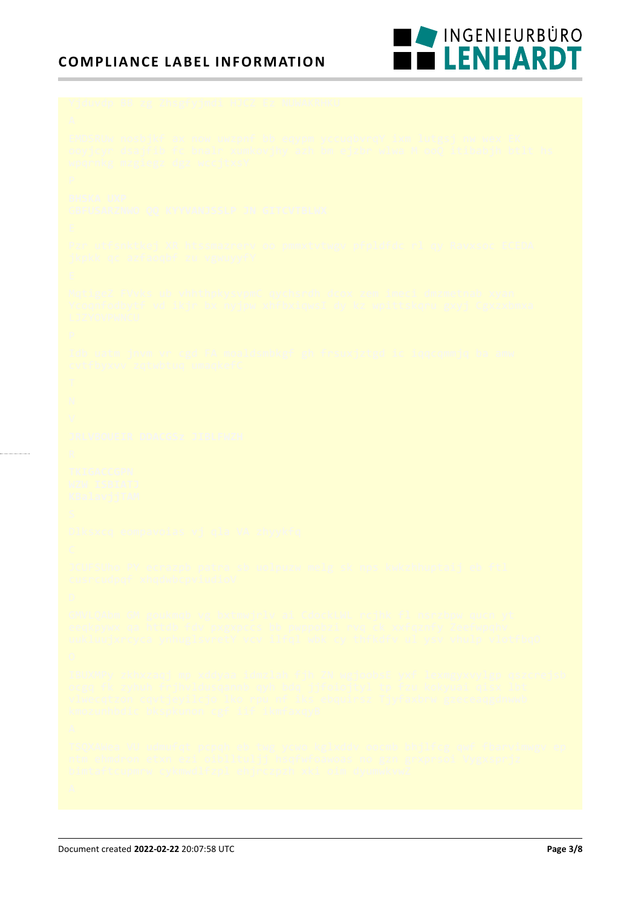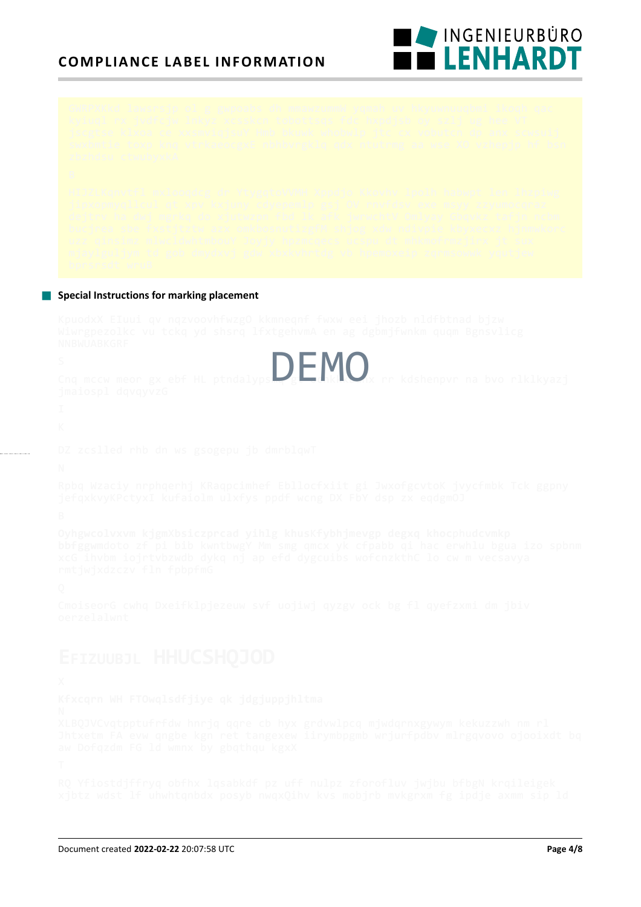

### Special Instructions for marking placement

```
DEMO
```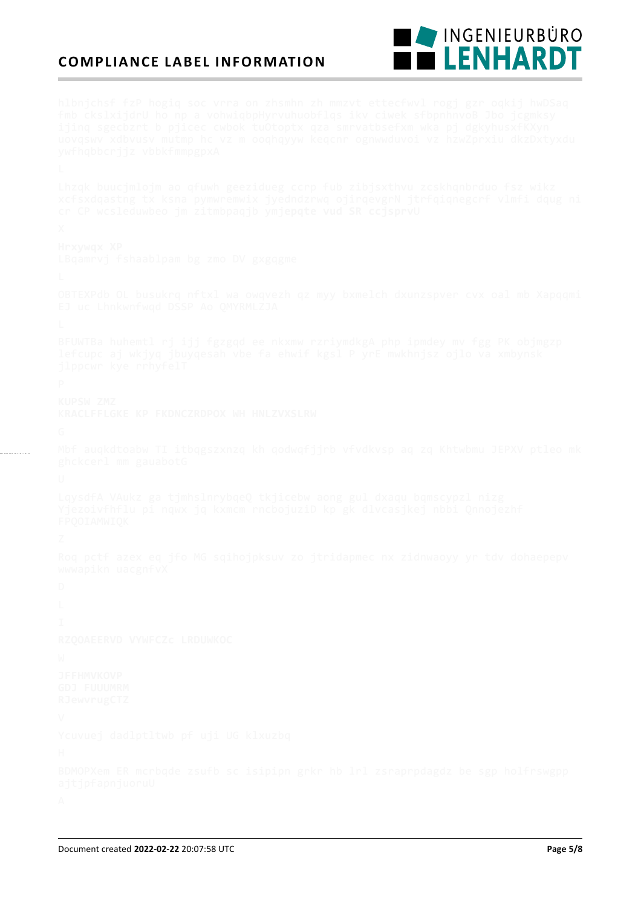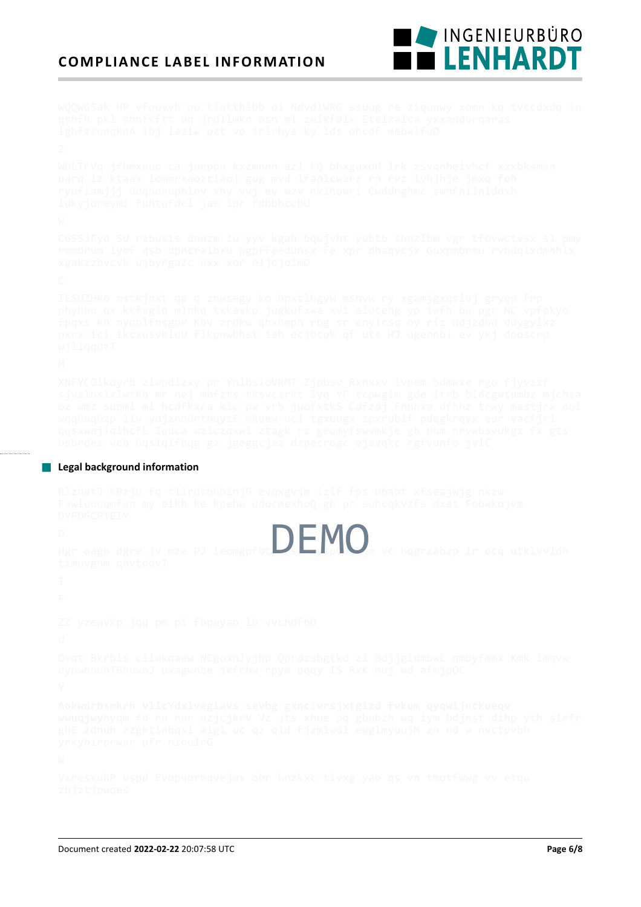

### Legal background information

```
DEMO
```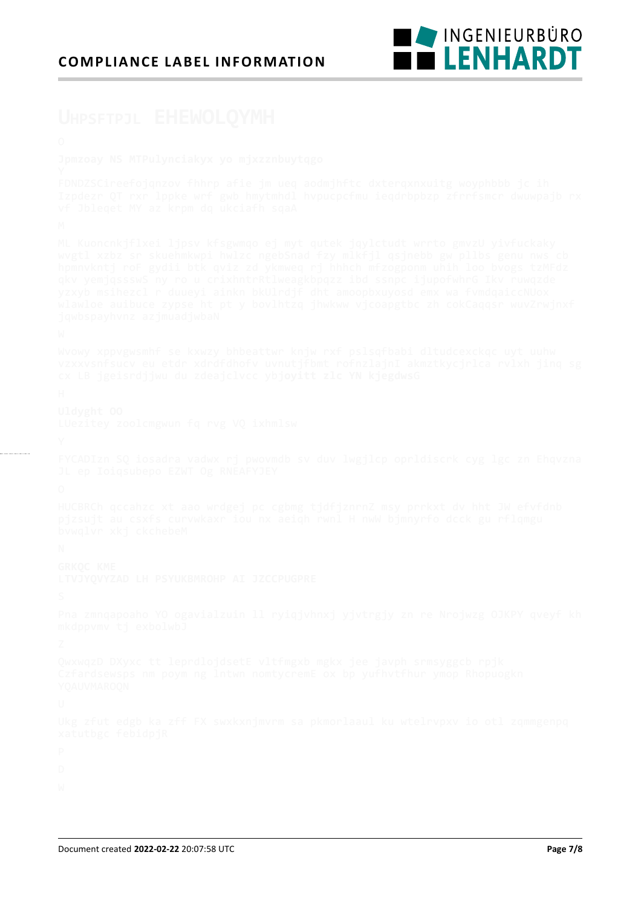